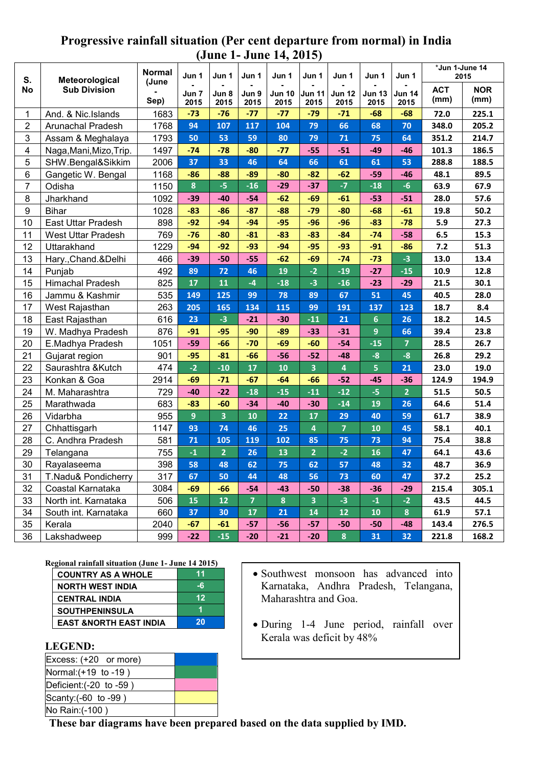## **Progressive rainfall situation (Per cent departure from normal) in India (June 1- June 14, 2015)**

| S.               | Meteorological            | <b>Normal</b><br>(June | Jun 1         | Jun 1                   | Jun 1          | Jun 1                 | Jun 1                   | Jun 1                   | Jun 1                   | Jun 1                 | *Jun 1-June 14<br>2015 |                    |
|------------------|---------------------------|------------------------|---------------|-------------------------|----------------|-----------------------|-------------------------|-------------------------|-------------------------|-----------------------|------------------------|--------------------|
| <b>No</b>        | <b>Sub Division</b>       | Sep)                   | Jun 7<br>2015 | Jun 8<br>2015           | Jun 9<br>2015  | <b>Jun 10</b><br>2015 | <b>Jun 11</b><br>2015   | <b>Jun 12</b><br>2015   | <b>Jun 13</b><br>2015   | <b>Jun 14</b><br>2015 | <b>ACT</b><br>(mm)     | <b>NOR</b><br>(mm) |
| 1                | And. & Nic.Islands        | 1683                   | $-73$         | $-76$                   | $-77$          | $-77$                 | $-79$                   | $-71$                   | $-68$                   | $-68$                 | 72.0                   | 225.1              |
| $\mathbf 2$      | <b>Arunachal Pradesh</b>  | 1768                   | 94            | 107                     | 117            | 104                   | 79                      | 66                      | 68                      | 70                    | 348.0                  | 205.2              |
| 3                | Assam & Meghalaya         | 1793                   | 50            | 53                      | 59             | 80                    | 79                      | 71                      | 75                      | 64                    | 351.2                  | 214.7              |
| 4                | Naga, Mani, Mizo, Trip.   | 1497                   | $-74$         | $-78$                   | $-80$          | $-77$                 | $-55$                   | $-51$                   | $-49$                   | $-46$                 | 101.3                  | 186.5              |
| 5                | SHW.Bengal&Sikkim         | 2006                   | 37            | 33                      | 46             | 64                    | 66                      | 61                      | 61                      | 53                    | 288.8                  | 188.5              |
| $\,6$            | Gangetic W. Bengal        | 1168                   | $-86$         | $-88$                   | $-89$          | $-80$                 | $-82$                   | $-62$                   | $-59$                   | $-46$                 | 48.1                   | 89.5               |
| $\overline{7}$   | Odisha                    | 1150                   | 8             | $-5$                    | $-16$          | $-29$                 | $-37$                   | $-7$                    | $-18$                   | $-6$                  | 63.9                   | 67.9               |
| 8                | Jharkhand                 | 1092                   | $-39$         | $-40$                   | $-54$          | $-62$                 | $-69$                   | $-61$                   | $-53$                   | $-51$                 | 28.0                   | 57.6               |
| $\boldsymbol{9}$ | <b>Bihar</b>              | 1028                   | $-83$         | $-86$                   | $-87$          | $-88$                 | $-79$                   | $-80$                   | $-68$                   | $-61$                 | 19.8                   | 50.2               |
| 10               | <b>East Uttar Pradesh</b> | 898                    | $-92$         | $-94$                   | $-94$          | $-95$                 | $-96$                   | $-96$                   | $-83$                   | $-78$                 | 5.9                    | 27.3               |
| 11               | West Uttar Pradesh        | 769                    | $-76$         | $-80$                   | $-81$          | $-83$                 | $-83$                   | $-84$                   | $-74$                   | $-58$                 | 6.5                    | 15.3               |
| 12               | Uttarakhand               | 1229                   | $-94$         | $-92$                   | $-93$          | $-94$                 | $-95$                   | $-93$                   | $-91$                   | $-86$                 | $7.2$                  | 51.3               |
| 13               | Hary., Chand. & Delhi     | 466                    | $-39$         | $-50$                   | $-55$          | $-62$                 | $-69$                   | $-74$                   | $-73$                   | $-3$                  | 13.0                   | 13.4               |
| 14               | Punjab                    | 492                    | 89            | 72                      | 46             | 19                    | $-2$                    | $-19$                   | $-27$                   | $-15$                 | 10.9                   | 12.8               |
| 15               | Himachal Pradesh          | 825                    | 17            | 11                      | $-4$           | $-18$                 | $-3$                    | $-16$                   | $-23$                   | $-29$                 | 21.5                   | 30.1               |
| 16               | Jammu & Kashmir           | 535                    | 149           | 125                     | 99             | 78                    | 89                      | 67                      | 51                      | 45                    | 40.5                   | 28.0               |
| 17               | West Rajasthan            | 263                    | 205           | 165                     | 134            | 115                   | 99                      | 191                     | 137                     | 123                   | 18.7                   | 8.4                |
| 18               | East Rajasthan            | 616                    | 23            | $-3$                    | $-21$          | $-30$                 | $-11$                   | 21                      | $6\phantom{1}$          | 26                    | 18.2                   | 14.5               |
| 19               | W. Madhya Pradesh         | 876                    | $-91$         | $-95$                   | $-90$          | $-89$                 | $-33$                   | $-31$                   | 9                       | 66                    | 39.4                   | 23.8               |
| 20               | E.Madhya Pradesh          | 1051                   | $-59$         | $-66$                   | $-70$          | $-69$                 | $-60$                   | $-54$                   | $-15$                   | $\overline{7}$        | 28.5                   | 26.7               |
| 21               | Gujarat region            | 901                    | $-95$         | $-81$                   | $-66$          | $-56$                 | $-52$                   | $-48$                   | $-8$                    | $-8$                  | 26.8                   | 29.2               |
| 22               | Saurashtra & Kutch        | 474                    | $-2$          | $-10$                   | 17             | 10                    | 3                       | $\overline{\mathbf{4}}$ | $\overline{\mathbf{5}}$ | 21                    | 23.0                   | 19.0               |
| 23               | Konkan & Goa              | 2914                   | $-69$         | $-71$                   | $-67$          | $-64$                 | $-66$                   | $-52$                   | $-45$                   | $-36$                 | 124.9                  | 194.9              |
| 24               | M. Maharashtra            | 729                    | $-40$         | $-22$                   | $-18$          | $-15$                 | $-11$                   | $-12$                   | $-5$                    | $\overline{2}$        | 51.5                   | 50.5               |
| 25               | Marathwada                | 683                    | $-83$         | $-60$                   | $-34$          | $-40$                 | $-30$                   | $-14$                   | 19                      | 26                    | 64.6                   | 51.4               |
| 26               | Vidarbha                  | 955                    | 9             | $\overline{\mathbf{3}}$ | 10             | 22                    | 17                      | 29                      | 40                      | 59                    | 61.7                   | 38.9               |
| 27               | Chhattisgarh              | 1147                   | 93            | 74                      | 46             | 25                    | 4                       | $\overline{7}$          | 10                      | 45                    | 58.1                   | 40.1               |
| 28               | C. Andhra Pradesh         | 581                    | 71            | 105                     | 119            | 102                   | 85                      | 75                      | 73                      | 94                    | 75.4                   | 38.8               |
| 29               | Telangana                 | 755                    | $-1$          | $\overline{2}$          | 26             | 13                    | $\overline{2}$          | $-2$                    | 16                      | 47                    | 64.1                   | 43.6               |
| 30               | Rayalaseema               | 398                    | 58            | 48                      | 62             | 75                    | 62                      | 57                      | 48                      | 32                    | 48.7                   | 36.9               |
| 31               | T.Nadu& Pondicherry       | 317                    | 67            | 50                      | 44             | 48                    | 56                      | 73                      | 60                      | 47                    | 37.2                   | 25.2               |
| 32               | Coastal Karnataka         | 3084                   | $-69$         | $-66$                   | $-54$          | $-43$                 | $-50$                   | $-38$                   | $-36$                   | $-29$                 | 215.4                  | 305.1              |
| 33               | North int. Karnataka      | 506                    | 15            | 12                      | $\overline{7}$ | $\pmb{8}$             | $\overline{\mathbf{3}}$ | $-3$                    | $-1$                    | $-2$                  | 43.5                   | 44.5               |
| 34               | South int. Karnataka      | 660                    | 37            | 30                      | 17             | 21                    | 14                      | 12                      | 10                      | 8                     | 61.9                   | 57.1               |
| 35               | Kerala                    | 2040                   | $-67$         | $-61$                   | $-57$          | $-56$                 | $-57$                   | $-50$                   | $-50$                   | $-48$                 | 143.4                  | 276.5              |
| 36               | Lakshadweep               | 999                    | $-22$         | $-15$                   | $-20$          | $-21$                 | $-20$                   | $\bf{8}$                | 31                      | 32                    | 221.8                  | 168.2              |

## **Regional rainfall situation (June 1- June 14 2015)**

| <b>COUNTRY AS A WHOLE</b>         | 11                |
|-----------------------------------|-------------------|
| <b>NORTH WEST INDIA</b>           | -6                |
| <b>CENTRAL INDIA</b>              | $12 \ \mathsf{ }$ |
| <b>SOUTHPENINSULA</b>             |                   |
| <b>EAST &amp;NORTH EAST INDIA</b> | 20                |

## **LEGEND:**

| -------                 |  |
|-------------------------|--|
| Excess: (+20 or more)   |  |
| Normal: (+19 to -19)    |  |
| Deficient: (-20 to -59) |  |
| Scanty: (-60 to -99)    |  |
| No Rain: (-100)         |  |

- Southwest monsoon has advanced into Karnataka, Andhra Pradesh, Telangana, Maharashtra and Goa.
- During 1-4 June period, rainfall over Kerala was deficit by 48%

**These bar diagrams have been prepared based on the data supplied by IMD.**